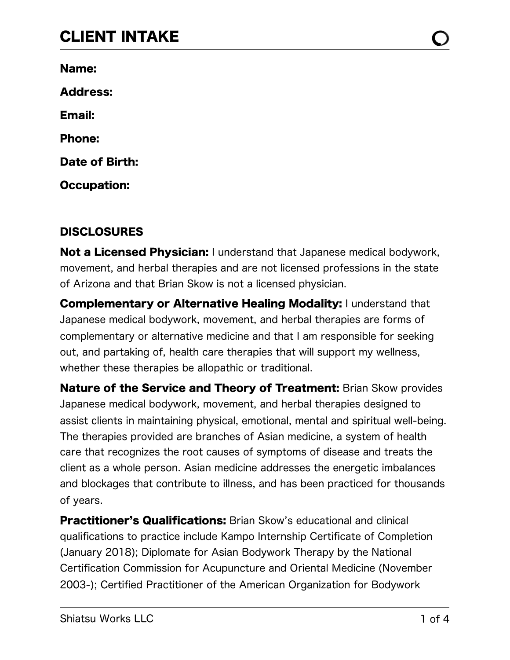### CLIENT INTAKE

Name:

Address:

Email:

Phone:

Date of Birth:

Occupation:

#### **DISCLOSURES**

**Not a Licensed Physician:** I understand that Japanese medical bodywork, movement, and herbal therapies and are not licensed professions in the state of Arizona and that Brian Skow is not a licensed physician.

**Complementary or Alternative Healing Modality: I understand that** Japanese medical bodywork, movement, and herbal therapies are forms of complementary or alternative medicine and that I am responsible for seeking out, and partaking of, health care therapies that will support my wellness, whether these therapies be allopathic or traditional.

Nature of the Service and Theory of Treatment: Brian Skow provides Japanese medical bodywork, movement, and herbal therapies designed to assist clients in maintaining physical, emotional, mental and spiritual well-being. The therapies provided are branches of Asian medicine, a system of health care that recognizes the root causes of symptoms of disease and treats the client as a whole person. Asian medicine addresses the energetic imbalances and blockages that contribute to illness, and has been practiced for thousands of years.

**Practitioner's Qualifications:** Brian Skow's educational and clinical qualifications to practice include Kampo Internship Certificate of Completion (January 2018); Diplomate for Asian Bodywork Therapy by the National Certification Commission for Acupuncture and Oriental Medicine (November 2003-); Certified Practitioner of the American Organization for Bodywork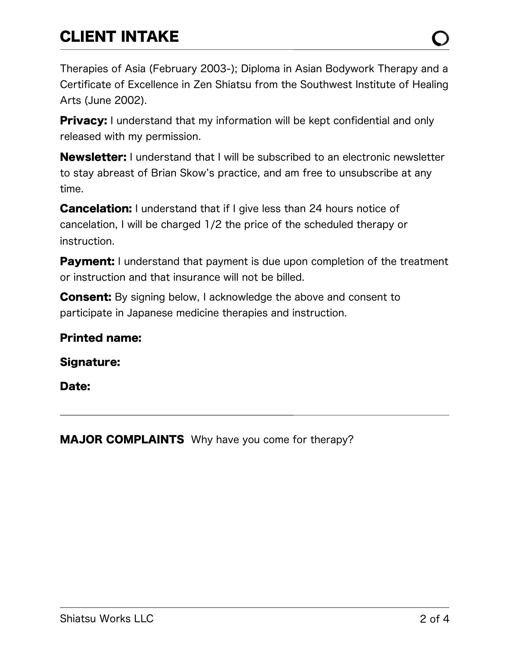# CLIENT INTAKE

**Privacy:** I understand that my information will be kept confidential and only released with my permission.

**Newsletter:** I understand that I will be subscribed to an electronic newsletter to stay abreast of Brian Skow's practice, and am free to unsubscribe at any time.

**Cancelation:** I understand that if I give less than 24 hours notice of cancelation, I will be charged 1/2 the price of the scheduled therapy or instruction.

**Payment:** I understand that payment is due upon completion of the treatment or instruction and that insurance will not be billed.

**Consent:** By signing below, I acknowledge the above and consent to participate in Japanese medicine therapies and instruction.

#### Printed name:

Signature:

Date:

MAJOR COMPLAINTS Why have you come for therapy?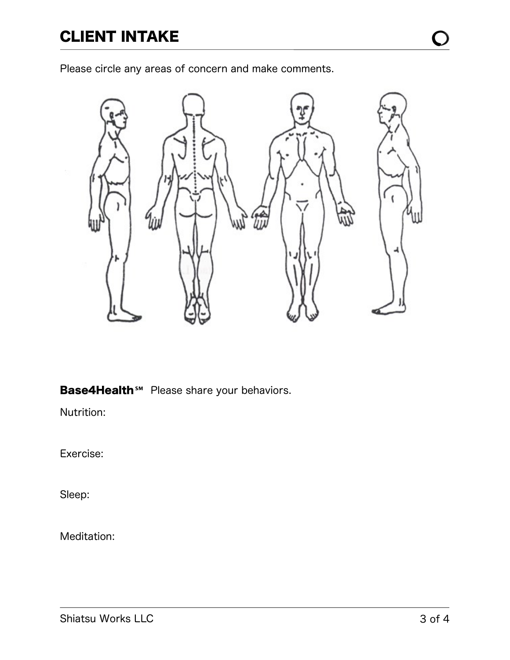Please circle any areas of concern and make comments.



Base4Health<sup>*s*™</sup> Please share your behaviors.

Nutrition:

Exercise:

Sleep:

Meditation: